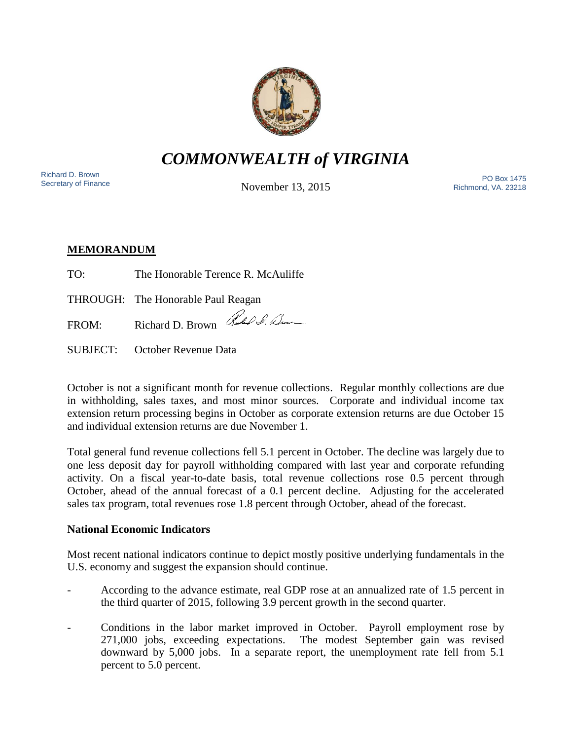

*COMMONWEALTH of VIRGINIA*

Richard D. Brown<br>Secretary of Finance

November 13, 2015

Nichard D. Brown<br>Secretary of Finance **Secretary of Finance** PO Box 1475 Richmond, VA. 23218

# **MEMORANDUM**

| TO: | The Honorable Terence R. McAuliffe    |
|-----|---------------------------------------|
|     | THROUGH: The Honorable Paul Reagan    |
|     | FROM: Richard D. Brown Rules & Demeur |

SUBJECT: October Revenue Data

October is not a significant month for revenue collections. Regular monthly collections are due in withholding, sales taxes, and most minor sources. Corporate and individual income tax extension return processing begins in October as corporate extension returns are due October 15 and individual extension returns are due November 1.

Total general fund revenue collections fell 5.1 percent in October. The decline was largely due to one less deposit day for payroll withholding compared with last year and corporate refunding activity. On a fiscal year-to-date basis, total revenue collections rose 0.5 percent through October, ahead of the annual forecast of a 0.1 percent decline. Adjusting for the accelerated sales tax program, total revenues rose 1.8 percent through October, ahead of the forecast.

## **National Economic Indicators**

Most recent national indicators continue to depict mostly positive underlying fundamentals in the U.S. economy and suggest the expansion should continue.

- According to the advance estimate, real GDP rose at an annualized rate of 1.5 percent in the third quarter of 2015, following 3.9 percent growth in the second quarter.
- Conditions in the labor market improved in October. Payroll employment rose by 271,000 jobs, exceeding expectations. The modest September gain was revised downward by 5,000 jobs. In a separate report, the unemployment rate fell from 5.1 percent to 5.0 percent.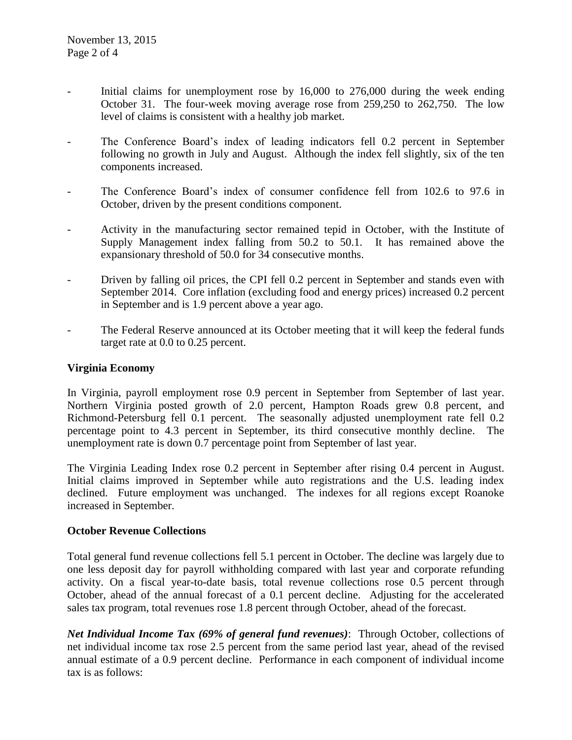- Initial claims for unemployment rose by 16,000 to 276,000 during the week ending October 31. The four-week moving average rose from 259,250 to 262,750. The low level of claims is consistent with a healthy job market.
- The Conference Board's index of leading indicators fell 0.2 percent in September following no growth in July and August. Although the index fell slightly, six of the ten components increased.
- The Conference Board's index of consumer confidence fell from 102.6 to 97.6 in October, driven by the present conditions component.
- Activity in the manufacturing sector remained tepid in October, with the Institute of Supply Management index falling from 50.2 to 50.1. It has remained above the expansionary threshold of 50.0 for 34 consecutive months.
- Driven by falling oil prices, the CPI fell 0.2 percent in September and stands even with September 2014. Core inflation (excluding food and energy prices) increased 0.2 percent in September and is 1.9 percent above a year ago.
- The Federal Reserve announced at its October meeting that it will keep the federal funds target rate at 0.0 to 0.25 percent.

#### **Virginia Economy**

In Virginia, payroll employment rose 0.9 percent in September from September of last year. Northern Virginia posted growth of 2.0 percent, Hampton Roads grew 0.8 percent, and Richmond-Petersburg fell 0.1 percent. The seasonally adjusted unemployment rate fell 0.2 percentage point to 4.3 percent in September, its third consecutive monthly decline. The unemployment rate is down 0.7 percentage point from September of last year.

The Virginia Leading Index rose 0.2 percent in September after rising 0.4 percent in August. Initial claims improved in September while auto registrations and the U.S. leading index declined. Future employment was unchanged. The indexes for all regions except Roanoke increased in September.

#### **October Revenue Collections**

Total general fund revenue collections fell 5.1 percent in October. The decline was largely due to one less deposit day for payroll withholding compared with last year and corporate refunding activity. On a fiscal year-to-date basis, total revenue collections rose 0.5 percent through October, ahead of the annual forecast of a 0.1 percent decline. Adjusting for the accelerated sales tax program, total revenues rose 1.8 percent through October, ahead of the forecast.

*Net Individual Income Tax (69% of general fund revenues)*: Through October, collections of net individual income tax rose 2.5 percent from the same period last year, ahead of the revised annual estimate of a 0.9 percent decline. Performance in each component of individual income tax is as follows: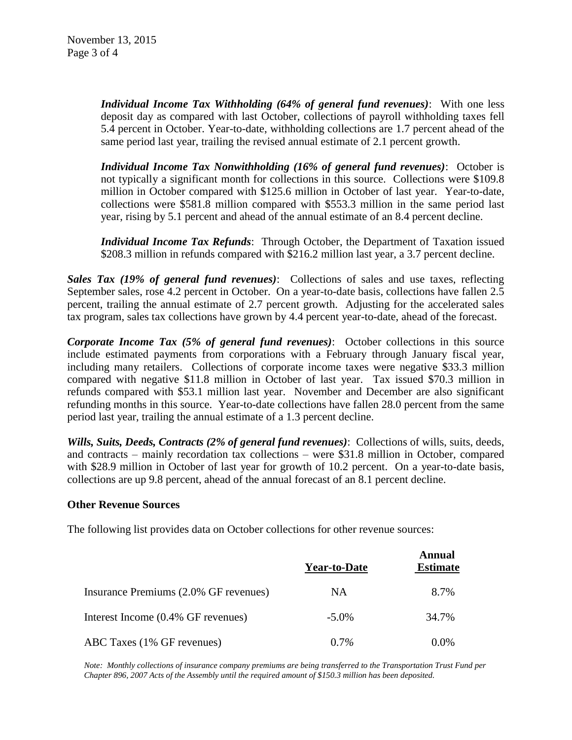*Individual Income Tax Withholding (64% of general fund revenues)*: With one less deposit day as compared with last October, collections of payroll withholding taxes fell 5.4 percent in October. Year-to-date, withholding collections are 1.7 percent ahead of the same period last year, trailing the revised annual estimate of 2.1 percent growth.

*Individual Income Tax Nonwithholding (16% of general fund revenues)*: October is not typically a significant month for collections in this source. Collections were \$109.8 million in October compared with \$125.6 million in October of last year. Year-to-date, collections were \$581.8 million compared with \$553.3 million in the same period last year, rising by 5.1 percent and ahead of the annual estimate of an 8.4 percent decline.

*Individual Income Tax Refunds*: Through October, the Department of Taxation issued \$208.3 million in refunds compared with \$216.2 million last year, a 3.7 percent decline.

*Sales Tax (19% of general fund revenues)*: Collections of sales and use taxes, reflecting September sales, rose 4.2 percent in October. On a year-to-date basis, collections have fallen 2.5 percent, trailing the annual estimate of 2.7 percent growth. Adjusting for the accelerated sales tax program, sales tax collections have grown by 4.4 percent year-to-date, ahead of the forecast.

*Corporate Income Tax (5% of general fund revenues)*: October collections in this source include estimated payments from corporations with a February through January fiscal year, including many retailers. Collections of corporate income taxes were negative \$33.3 million compared with negative \$11.8 million in October of last year. Tax issued \$70.3 million in refunds compared with \$53.1 million last year. November and December are also significant refunding months in this source. Year-to-date collections have fallen 28.0 percent from the same period last year, trailing the annual estimate of a 1.3 percent decline.

*Wills, Suits, Deeds, Contracts (2% of general fund revenues)*: Collections of wills, suits, deeds, and contracts – mainly recordation tax collections – were \$31.8 million in October, compared with \$28.9 million in October of last year for growth of 10.2 percent. On a year-to-date basis, collections are up 9.8 percent, ahead of the annual forecast of an 8.1 percent decline.

#### **Other Revenue Sources**

The following list provides data on October collections for other revenue sources:

|                                       | <b>Year-to-Date</b> | Annual<br><b>Estimate</b> |
|---------------------------------------|---------------------|---------------------------|
| Insurance Premiums (2.0% GF revenues) | NA                  | 8.7%                      |
| Interest Income (0.4% GF revenues)    | $-5.0\%$            | 34.7%                     |
| ABC Taxes (1% GF revenues)            | $0.7\%$             | $0.0\%$                   |

*Note: Monthly collections of insurance company premiums are being transferred to the Transportation Trust Fund per Chapter 896, 2007 Acts of the Assembly until the required amount of \$150.3 million has been deposited.*